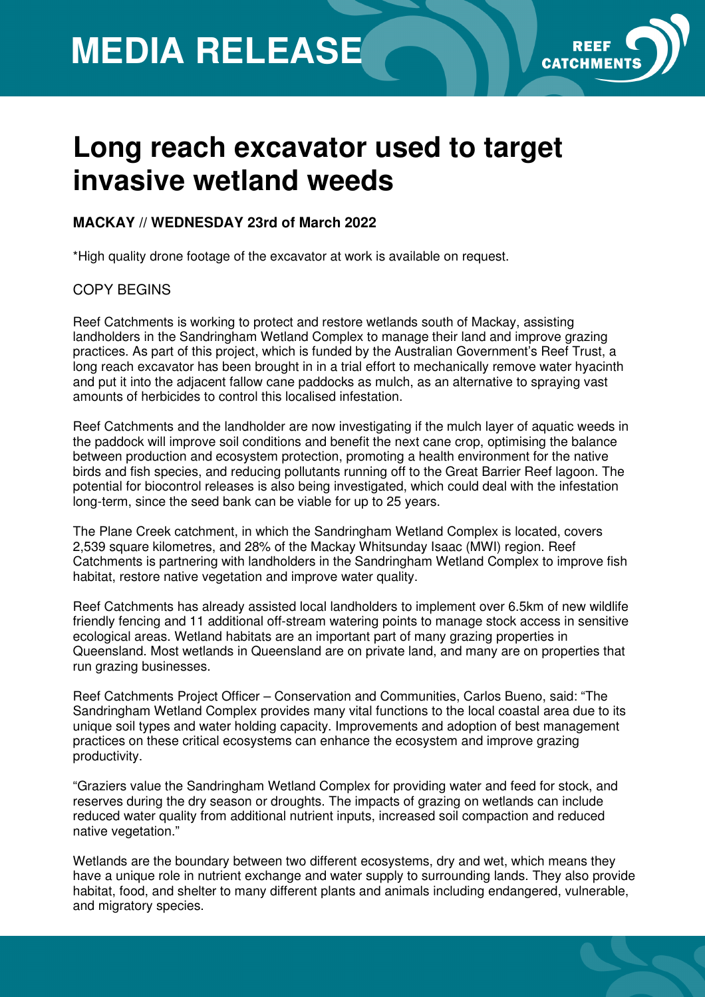## **MEDIA RELEASE**



### **Long reach excavator used to target invasive wetland weeds**

#### **MACKAY // WEDNESDAY 23rd of March 2022**

\*High quality drone footage of the excavator at work is available on request.

#### COPY BEGINS

Reef Catchments is working to protect and restore wetlands south of Mackay, assisting landholders in the Sandringham Wetland Complex to manage their land and improve grazing practices. As part of this project, which is funded by the Australian Government's Reef Trust, a long reach excavator has been brought in in a trial effort to mechanically remove water hyacinth and put it into the adjacent fallow cane paddocks as mulch, as an alternative to spraying vast amounts of herbicides to control this localised infestation.

Reef Catchments and the landholder are now investigating if the mulch layer of aquatic weeds in the paddock will improve soil conditions and benefit the next cane crop, optimising the balance between production and ecosystem protection, promoting a health environment for the native birds and fish species, and reducing pollutants running off to the Great Barrier Reef lagoon. The potential for biocontrol releases is also being investigated, which could deal with the infestation long-term, since the seed bank can be viable for up to 25 years.

The Plane Creek catchment, in which the Sandringham Wetland Complex is located, covers 2,539 square kilometres, and 28% of the Mackay Whitsunday Isaac (MWI) region. Reef Catchments is partnering with landholders in the Sandringham Wetland Complex to improve fish habitat, restore native vegetation and improve water quality.

Reef Catchments has already assisted local landholders to implement over 6.5km of new wildlife friendly fencing and 11 additional off-stream watering points to manage stock access in sensitive ecological areas. Wetland habitats are an important part of many grazing properties in Queensland. Most wetlands in Queensland are on private land, and many are on properties that run grazing businesses.

Reef Catchments Project Officer – Conservation and Communities, Carlos Bueno, said: "The Sandringham Wetland Complex provides many vital functions to the local coastal area due to its unique soil types and water holding capacity. Improvements and adoption of best management practices on these critical ecosystems can enhance the ecosystem and improve grazing productivity.

"Graziers value the Sandringham Wetland Complex for providing water and feed for stock, and reserves during the dry season or droughts. The impacts of grazing on wetlands can include reduced water quality from additional nutrient inputs, increased soil compaction and reduced native vegetation."

Wetlands are the boundary between two different ecosystems, dry and wet, which means they have a unique role in nutrient exchange and water supply to surrounding lands. They also provide habitat, food, and shelter to many different plants and animals including endangered, vulnerable, and migratory species.